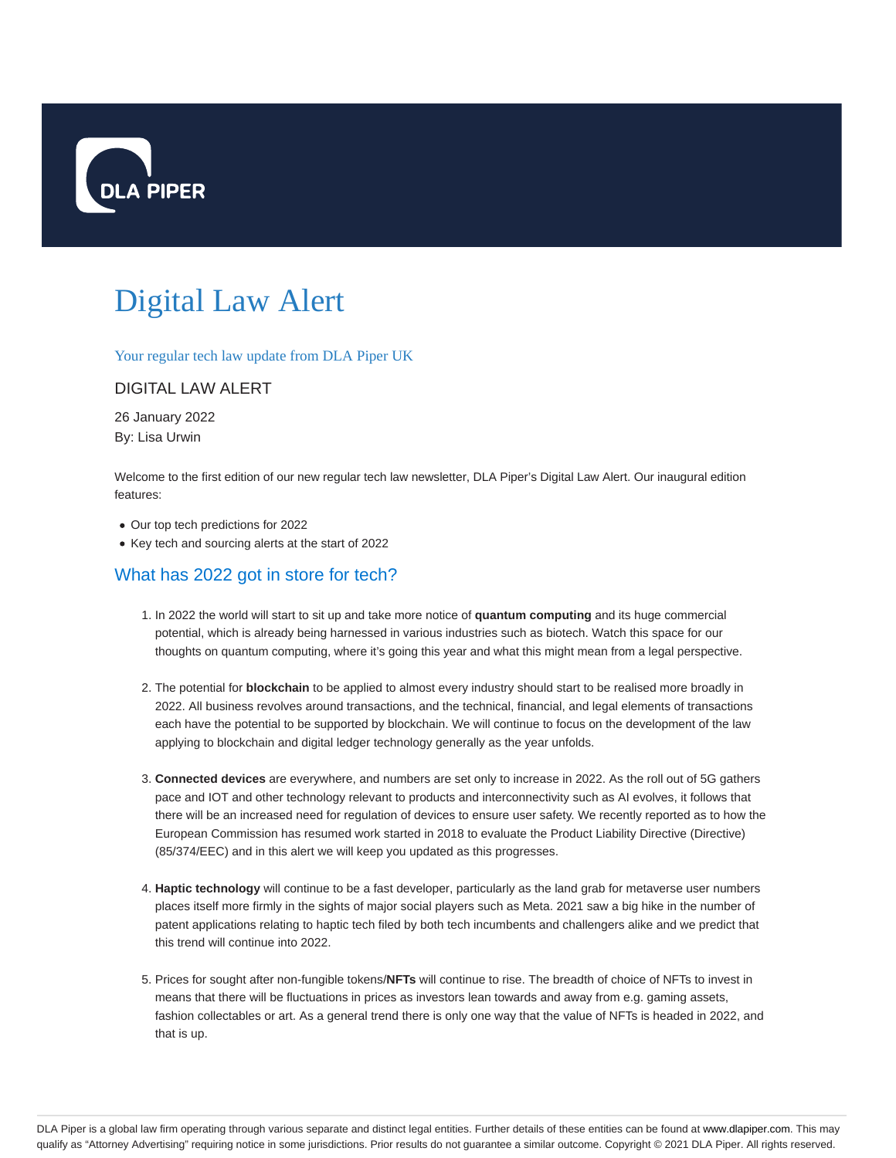

# Digital Law Alert

Your regular tech law update from DLA Piper UK

#### DIGITAL LAW ALERT

26 January 2022 By: Lisa Urwin

Welcome to the first edition of our new regular tech law newsletter, DLA Piper's Digital Law Alert. Our inaugural edition features:

- Our top tech predictions for 2022
- Key tech and sourcing alerts at the start of 2022

#### What has 2022 got in store for tech?

- 1. In 2022 the world will start to sit up and take more notice of **quantum computing** and its huge commercial potential, which is already being harnessed in various industries such as biotech. Watch this space for our thoughts on quantum computing, where it's going this year and what this might mean from a legal perspective.
- 2. The potential for **blockchain** to be applied to almost every industry should start to be realised more broadly in 2022. All business revolves around transactions, and the technical, financial, and legal elements of transactions each have the potential to be supported by blockchain. We will continue to focus on the development of the law applying to blockchain and digital ledger technology generally as the year unfolds.
- **Connected devices** are everywhere, and numbers are set only to increase in 2022. As the roll out of 5G gathers 3. pace and IOT and other technology relevant to products and interconnectivity such as AI evolves, it follows that there will be an increased need for regulation of devices to ensure user safety. We recently reported as to how the European Commission has resumed work started in 2018 to evaluate the Product Liability Directive (Directive) (85/374/EEC) and in this alert we will keep you updated as this progresses.
- **Haptic technology** will continue to be a fast developer, particularly as the land grab for metaverse user numbers 4. places itself more firmly in the sights of major social players such as Meta. 2021 saw a big hike in the number of patent applications relating to haptic tech filed by both tech incumbents and challengers alike and we predict that this trend will continue into 2022.
- 5. Prices for sought after non-fungible tokens/NFTs will continue to rise. The breadth of choice of NFTs to invest in means that there will be fluctuations in prices as investors lean towards and away from e.g. gaming assets, fashion collectables or art. As a general trend there is only one way that the value of NFTs is headed in 2022, and that is up.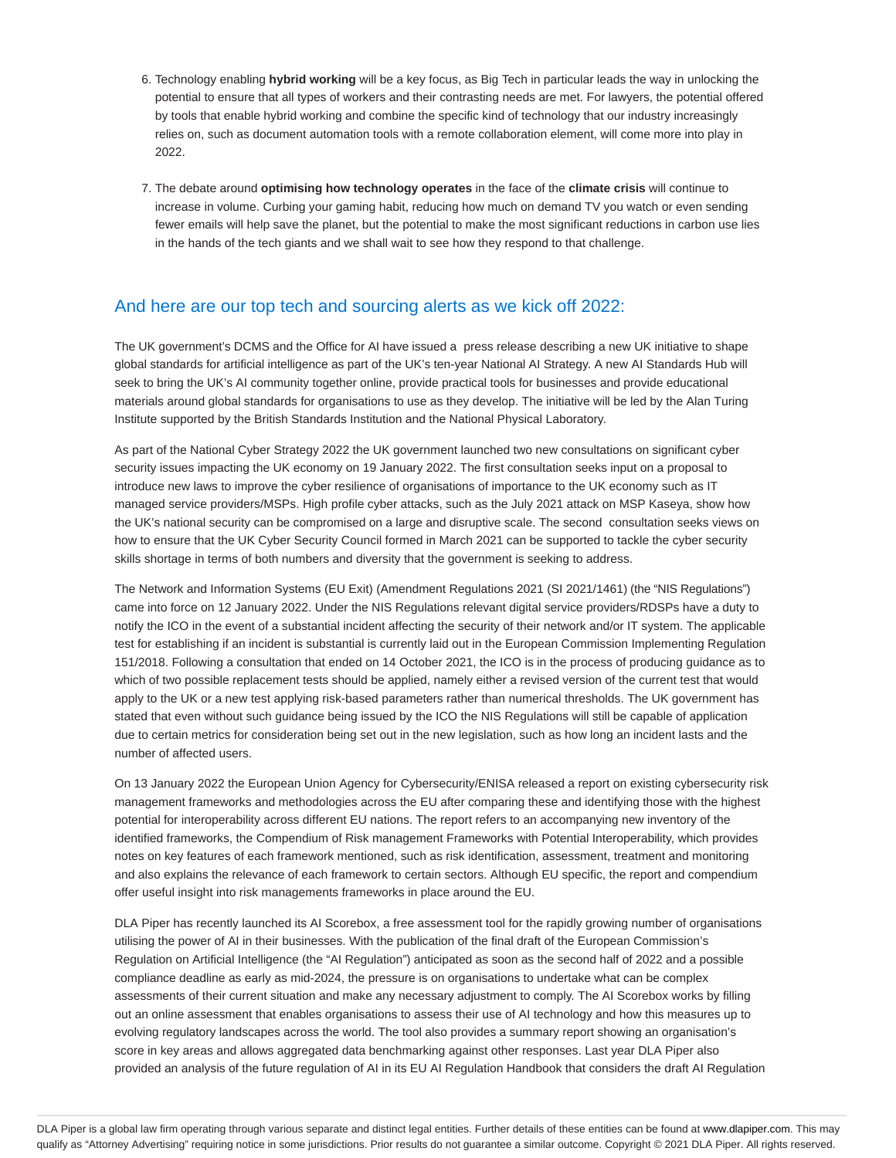- Technology enabling **hybrid working** will be a key focus, as Big Tech in particular leads the way in unlocking the 6. potential to ensure that all types of workers and their contrasting needs are met. For lawyers, the potential offered by tools that enable hybrid working and combine the specific kind of technology that our industry increasingly relies on, such as document automation tools with a remote collaboration element, will come more into play in 2022.
- 7. The debate around **optimising how technology operates** in the face of the **climate crisis** will continue to increase in volume. Curbing your gaming habit, reducing how much on demand TV you watch or even sending fewer emails will help save the planet, but the potential to make the most significant reductions in carbon use lies in the hands of the tech giants and we shall wait to see how they respond to that challenge.

## And here are our top tech and sourcing alerts as we kick off 2022:

The UK government's DCMS and the Office for AI have issued a press release describing a new UK initiative to shape global standards for artificial intelligence as part of the UK's ten-year National AI Strategy. A new AI Standards Hub will seek to bring the UK's AI community together online, provide practical tools for businesses and provide educational materials around global standards for organisations to use as they develop. The initiative will be led by the Alan Turing Institute supported by the British Standards Institution and the National Physical Laboratory.

As part of the National Cyber Strategy 2022 the UK government launched two new consultations on significant cyber security issues impacting the UK economy on 19 January 2022. The first consultation seeks input on a proposal to introduce new laws to improve the cyber resilience of organisations of importance to the UK economy such as IT managed service providers/MSPs. High profile cyber attacks, such as the July 2021 attack on MSP Kaseya, show how the UK's national security can be compromised on a large and disruptive scale. The second consultation seeks views on how to ensure that the UK Cyber Security Council formed in March 2021 can be supported to tackle the cyber security skills shortage in terms of both numbers and diversity that the government is seeking to address.

The Network and Information Systems (EU Exit) (Amendment Regulations 2021 (SI 2021/1461) (the "NIS Regulations") came into force on 12 January 2022. Under the NIS Regulations relevant digital service providers/RDSPs have a duty to notify the ICO in the event of a substantial incident affecting the security of their network and/or IT system. The applicable test for establishing if an incident is substantial is currently laid out in the European Commission Implementing Regulation 151/2018. Following a consultation that ended on 14 October 2021, the ICO is in the process of producing guidance as to which of two possible replacement tests should be applied, namely either a revised version of the current test that would apply to the UK or a new test applying risk-based parameters rather than numerical thresholds. The UK government has stated that even without such guidance being issued by the ICO the NIS Regulations will still be capable of application due to certain metrics for consideration being set out in the new legislation, such as how long an incident lasts and the number of affected users.

On 13 January 2022 the European Union Agency for Cybersecurity/ENISA released a report on existing cybersecurity risk management frameworks and methodologies across the EU after comparing these and identifying those with the highest potential for interoperability across different EU nations. The report refers to an accompanying new inventory of the identified frameworks, the Compendium of Risk management Frameworks with Potential Interoperability, which provides notes on key features of each framework mentioned, such as risk identification, assessment, treatment and monitoring and also explains the relevance of each framework to certain sectors. Although EU specific, the report and compendium offer useful insight into risk managements frameworks in place around the EU.

DLA Piper has recently launched its AI Scorebox, a free assessment tool for the rapidly growing number of organisations utilising the power of AI in their businesses. With the publication of the final draft of the European Commission's Regulation on Artificial Intelligence (the "AI Regulation") anticipated as soon as the second half of 2022 and a possible compliance deadline as early as mid-2024, the pressure is on organisations to undertake what can be complex assessments of their current situation and make any necessary adjustment to comply. The AI Scorebox works by filling out an online assessment that enables organisations to assess their use of AI technology and how this measures up to evolving regulatory landscapes across the world. The tool also provides a summary report showing an organisation's score in key areas and allows aggregated data benchmarking against other responses. Last year DLA Piper also provided an analysis of the future regulation of AI in its EU AI Regulation Handbook that considers the draft AI Regulation